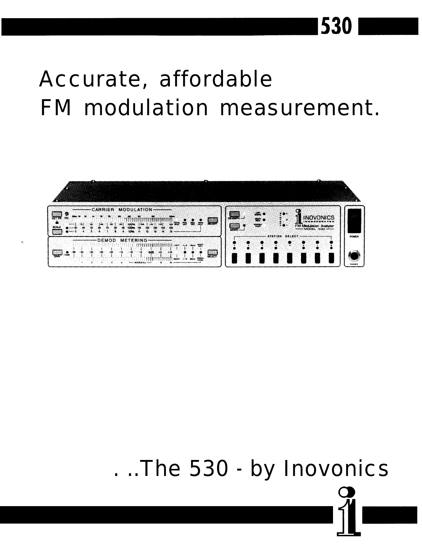## 530

# Accurate, affordable FM modulation measurement.



# ...The 530 - by Inovonics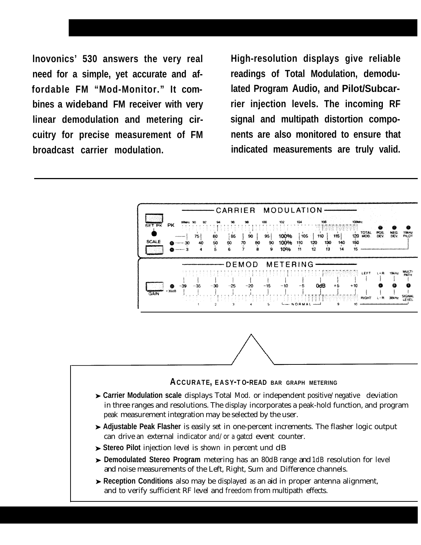**need for a simple, yet accurate and af- readings of Total Modulation, demodufordable FM "Mod-Monitor." It com- lated Program Audio, and Pilot/Subcarbines a wideband FM receiver with very rier injection levels. The incoming RF linear demodulation and metering cir- signal and multipath distortion compocuitry for precise measurement of FM nents are also monitored to ensure that broadcast carrier modulation. indicated measurements are truly valid.**

**lnovonics' 530 answers the very real High-resolution displays give reliable**



### **ACCURATE, EAS Y-T O-READ BAR GRAPH METERING**

- **) Carrier Modulation scale** displays Total Mod. or independent positive/negative deviation in three ranges and resolutions. The display incorporates a peak-hold function, and program peak measurement integration may be selected by the user.
- <sup>N</sup> **Adjustable Peak Flasher** is easily set in one-percent increments. The flasher logic output can drive an external indicator and/or a gatcd event counter.
- ► Stereo Pilot injection level is shown in percent und dB
- ) **Demodulated Stereo Program** metering has an 80dB range and 1dB resolution for level and noise measurements of the Left, Right, Sum and Difference channels.
- **Example 3** Reception Conditions also may be displayed as an aid in proper antenna alignment, and to verify sufficient RF level and freedom from multipath effects.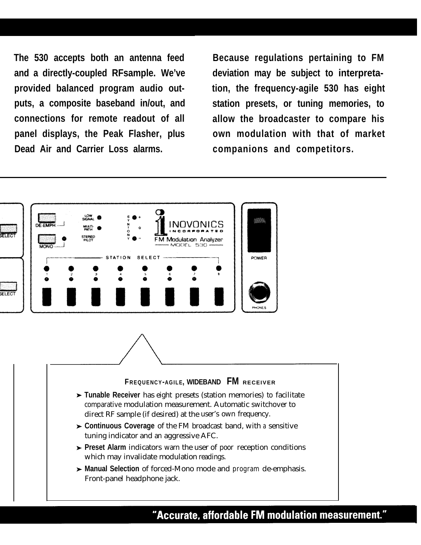**and a directly-coupled RFsample. We've deviation may be subject to interpretaprovided balanced program audio out- tion, the frequency-agile 530 has eight puts, a composite baseband in/out, and station presets, or tuning memories, to connections for remote readout of all allow the broadcaster to compare his panel displays, the Peak Flasher, plus own modulation with that of market**

**The 530 accepts both an antenna feed Because regulations pertaining to FM Dead Air and Carrier Loss alarms. companions and competitors.**



- **Tunable Receiver** has eight presets (station memories) to facilitate comparative modulation measurement. Automatic switchover to direct RF sample (if desired) at the user's own frequency.
- **Continuous Coverage** of the FM broadcast band, with a sensitive tuning indicator and an aggressive AFC.
- **Preset Alarm** indicators warn the user of poor reception conditions which may invalidate modulation readings.
- **Manual Selection** of forced-Mono mode and program de-emphasis. Front-panel headphone jack.